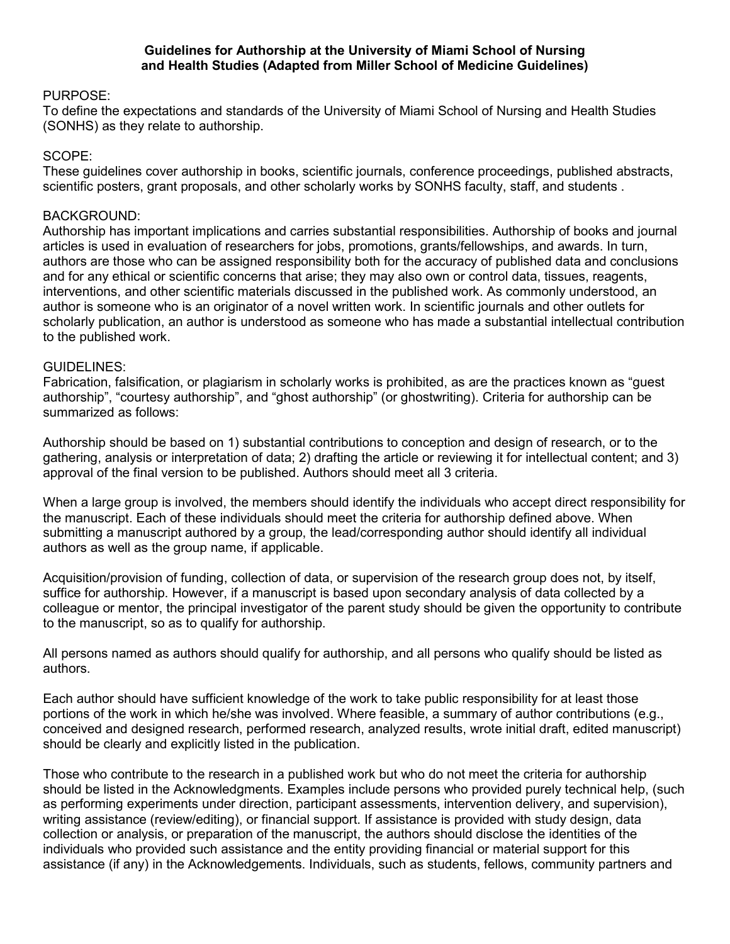## **Guidelines for Authorship at the University of Miami School of Nursing and Health Studies (Adapted from Miller School of Medicine Guidelines)**

## PURPOSE:

To define the expectations and standards of the University of Miami School of Nursing and Health Studies (SONHS) as they relate to authorship.

## SCOPE:

These guidelines cover authorship in books, scientific journals, conference proceedings, published abstracts, scientific posters, grant proposals, and other scholarly works by SONHS faculty, staff, and students,

# BACKGROUND:

Authorship has important implications and carries substantial responsibilities. Authorship of books and journal articles is used in evaluation of researchers for jobs, promotions, grants/fellowships, and awards. In turn, authors are those who can be assigned responsibility both for the accuracy of published data and conclusions and for any ethical or scientific concerns that arise; they may also own or control data, tissues, reagents, interventions, and other scientific materials discussed in the published work. As commonly understood, an author is someone who is an originator of a novel written work. In scientific journals and other outlets for scholarly publication, an author is understood as someone who has made a substantial intellectual contribution to the published work.

#### GUIDELINES:

Fabrication, falsification, or plagiarism in scholarly works is prohibited, as are the practices known as "guest authorship", "courtesy authorship", and "ghost authorship" (or ghostwriting). Criteria for authorship can be summarized as follows:

Authorship should be based on 1) substantial contributions to conception and design of research, or to the gathering, analysis or interpretation of data; 2) drafting the article or reviewing it for intellectual content; and 3) approval of the final version to be published. Authors should meet all 3 criteria.

When a large group is involved, the members should identify the individuals who accept direct responsibility for the manuscript. Each of these individuals should meet the criteria for authorship defined above. When submitting a manuscript authored by a group, the lead/corresponding author should identify all individual authors as well as the group name, if applicable.

Acquisition/provision of funding, collection of data, or supervision of the research group does not, by itself, suffice for authorship. However, if a manuscript is based upon secondary analysis of data collected by a colleague or mentor, the principal investigator of the parent study should be given the opportunity to contribute to the manuscript, so as to qualify for authorship.

All persons named as authors should qualify for authorship, and all persons who qualify should be listed as authors.

Each author should have sufficient knowledge of the work to take public responsibility for at least those portions of the work in which he/she was involved. Where feasible, a summary of author contributions (e.g., conceived and designed research, performed research, analyzed results, wrote initial draft, edited manuscript) should be clearly and explicitly listed in the publication.

Those who contribute to the research in a published work but who do not meet the criteria for authorship should be listed in the Acknowledgments. Examples include persons who provided purely technical help, (such as performing experiments under direction, participant assessments, intervention delivery, and supervision), writing assistance (review/editing), or financial support. If assistance is provided with study design, data collection or analysis, or preparation of the manuscript, the authors should disclose the identities of the individuals who provided such assistance and the entity providing financial or material support for this assistance (if any) in the Acknowledgements. Individuals, such as students, fellows, community partners and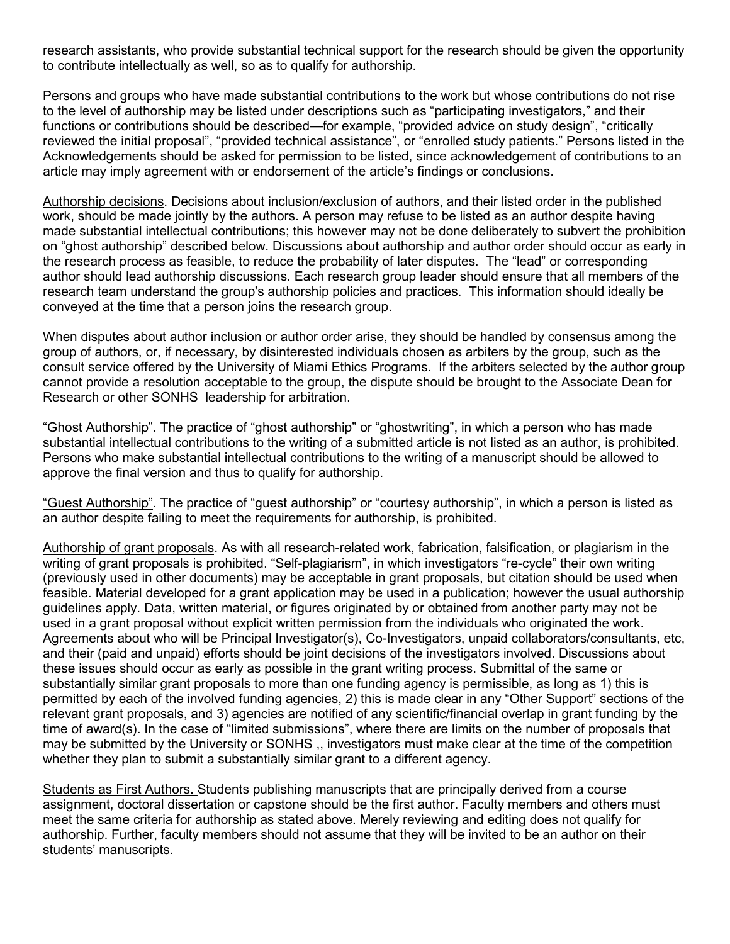research assistants, who provide substantial technical support for the research should be given the opportunity to contribute intellectually as well, so as to qualify for authorship.

Persons and groups who have made substantial contributions to the work but whose contributions do not rise to the level of authorship may be listed under descriptions such as "participating investigators," and their functions or contributions should be described—for example, "provided advice on study design", "critically reviewed the initial proposal", "provided technical assistance", or "enrolled study patients." Persons listed in the Acknowledgements should be asked for permission to be listed, since acknowledgement of contributions to an article may imply agreement with or endorsement of the article's findings or conclusions.

Authorship decisions. Decisions about inclusion/exclusion of authors, and their listed order in the published work, should be made jointly by the authors. A person may refuse to be listed as an author despite having made substantial intellectual contributions; this however may not be done deliberately to subvert the prohibition on "ghost authorship" described below. Discussions about authorship and author order should occur as early in the research process as feasible, to reduce the probability of later disputes. The "lead" or corresponding author should lead authorship discussions. Each research group leader should ensure that all members of the research team understand the group's authorship policies and practices. This information should ideally be conveyed at the time that a person joins the research group.

When disputes about author inclusion or author order arise, they should be handled by consensus among the group of authors, or, if necessary, by disinterested individuals chosen as arbiters by the group, such as the consult service offered by the University of Miami Ethics Programs. If the arbiters selected by the author group cannot provide a resolution acceptable to the group, the dispute should be brought to the Associate Dean for Research or other SONHS leadership for arbitration.

"Ghost Authorship". The practice of "ghost authorship" or "ghostwriting", in which a person who has made substantial intellectual contributions to the writing of a submitted article is not listed as an author, is prohibited. Persons who make substantial intellectual contributions to the writing of a manuscript should be allowed to approve the final version and thus to qualify for authorship.

"Guest Authorship". The practice of "guest authorship" or "courtesy authorship", in which a person is listed as an author despite failing to meet the requirements for authorship, is prohibited.

Authorship of grant proposals. As with all research-related work, fabrication, falsification, or plagiarism in the writing of grant proposals is prohibited. "Self-plagiarism", in which investigators "re-cycle" their own writing (previously used in other documents) may be acceptable in grant proposals, but citation should be used when feasible. Material developed for a grant application may be used in a publication; however the usual authorship guidelines apply. Data, written material, or figures originated by or obtained from another party may not be used in a grant proposal without explicit written permission from the individuals who originated the work. Agreements about who will be Principal Investigator(s), Co-Investigators, unpaid collaborators/consultants, etc, and their (paid and unpaid) efforts should be joint decisions of the investigators involved. Discussions about these issues should occur as early as possible in the grant writing process. Submittal of the same or substantially similar grant proposals to more than one funding agency is permissible, as long as 1) this is permitted by each of the involved funding agencies, 2) this is made clear in any "Other Support" sections of the relevant grant proposals, and 3) agencies are notified of any scientific/financial overlap in grant funding by the time of award(s). In the case of "limited submissions", where there are limits on the number of proposals that may be submitted by the University or SONHS ,, investigators must make clear at the time of the competition whether they plan to submit a substantially similar grant to a different agency.

Students as First Authors. Students publishing manuscripts that are principally derived from a course assignment, doctoral dissertation or capstone should be the first author. Faculty members and others must meet the same criteria for authorship as stated above. Merely reviewing and editing does not qualify for authorship. Further, faculty members should not assume that they will be invited to be an author on their students' manuscripts.